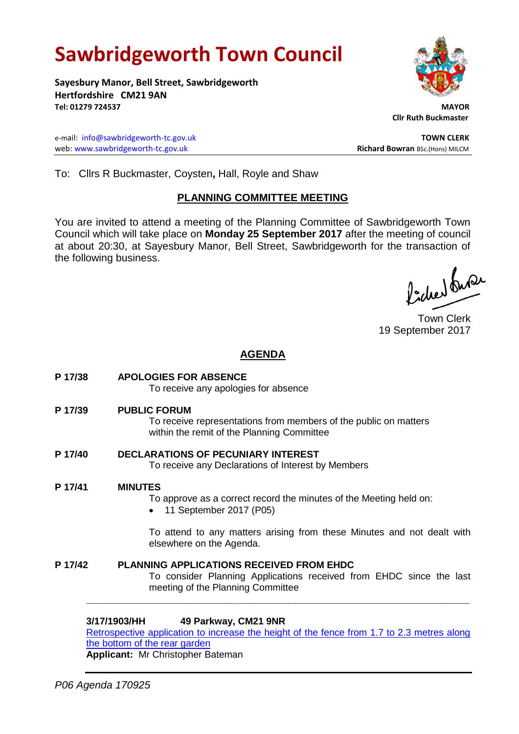# **Sawbridgeworth Town Council**

**Sayesbury Manor, Bell Street, Sawbridgeworth Hertfordshire CM21 9AN Tel: 01279 724537 MAYOR**

e-mail: [info@sawbridgeworth-tc.gov.uk](mailto:info@sawbridgeworth-tc.gov.uk) **TOWN CLERK** web: www.sawbridgeworth-tc.gov.uk<br> **Richard Bowran** BSc.(Hons) MILCM



 **Cllr Ruth Buckmaster** 

To: Cllrs R Buckmaster, Coysten**,** Hall, Royle and Shaw

# **PLANNING COMMITTEE MEETING**

You are invited to attend a meeting of the Planning Committee of Sawbridgeworth Town Council which will take place on **Monday 25 September 2017** after the meeting of council at about 20:30, at Sayesbury Manor, Bell Street, Sawbridgeworth for the transaction of the following business.

Picked Super

Town Clerk 19 September 2017

# **AGENDA**

**P 17/38 APOLOGIES FOR ABSENCE** To receive any apologies for absence **P 17/39 PUBLIC FORUM** To receive representations from members of the public on matters within the remit of the Planning Committee **P 17/40 DECLARATIONS OF PECUNIARY INTEREST** To receive any Declarations of Interest by Members **P 17/41 MINUTES** To approve as a correct record the minutes of the Meeting held on: • 11 September 2017 (P05) To attend to any matters arising from these Minutes and not dealt with elsewhere on the Agenda. **P 17/42 PLANNING APPLICATIONS RECEIVED FROM EHDC** To consider Planning Applications received from EHDC since the last meeting of the Planning Committee **\_\_\_\_\_\_\_\_\_\_\_\_\_\_\_\_\_\_\_\_\_\_\_\_\_\_\_\_\_\_\_\_\_\_\_\_\_\_\_\_\_\_\_\_\_\_\_\_\_\_\_\_\_\_\_\_\_\_\_\_\_\_\_\_\_\_**

**3/17/1903/HH 49 Parkway, CM21 9NR** [Retrospective application to increase the height of the fence from 1.7 to 2.3 metres along](https://publicaccess.eastherts.gov.uk/online-applications/applicationDetails.do?activeTab=summary&keyVal=OUJ0GEGLI2V00) [the bottom of the rear garden](https://publicaccess.eastherts.gov.uk/online-applications/applicationDetails.do?activeTab=summary&keyVal=OUJ0GEGLI2V00)

**Applicant:** Mr Christopher Bateman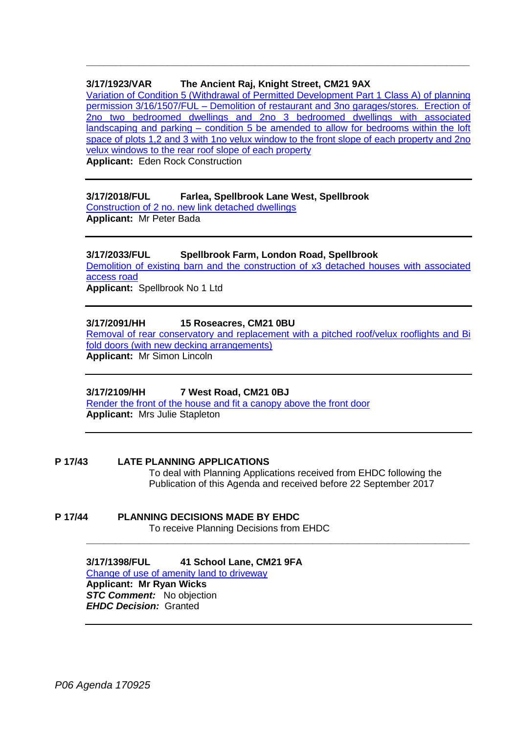# **3/17/1923/VAR The Ancient Raj, Knight Street, CM21 9AX**

[Variation of Condition 5 \(Withdrawal of Permitted Development Part 1 Class A\) of planning](https://publicaccess.eastherts.gov.uk/online-applications/applicationDetails.do?activeTab=summary&keyVal=OUQF6DGLI4800)  permission 3/16/1507/FUL – [Demolition of restaurant and 3no garages/stores. Erection of](https://publicaccess.eastherts.gov.uk/online-applications/applicationDetails.do?activeTab=summary&keyVal=OUQF6DGLI4800)  2no two bedroomed dwellings and 2no [3 bedroomed dwellings with associated](https://publicaccess.eastherts.gov.uk/online-applications/applicationDetails.do?activeTab=summary&keyVal=OUQF6DGLI4800)  landscaping and parking – [condition 5 be amended to allow for bedrooms within the loft](https://publicaccess.eastherts.gov.uk/online-applications/applicationDetails.do?activeTab=summary&keyVal=OUQF6DGLI4800)  [space of plots 1,2 and 3 with 1no velux window to the front slope of each property and 2no](https://publicaccess.eastherts.gov.uk/online-applications/applicationDetails.do?activeTab=summary&keyVal=OUQF6DGLI4800)  [velux windows to the rear roof slope of each property](https://publicaccess.eastherts.gov.uk/online-applications/applicationDetails.do?activeTab=summary&keyVal=OUQF6DGLI4800)

**\_\_\_\_\_\_\_\_\_\_\_\_\_\_\_\_\_\_\_\_\_\_\_\_\_\_\_\_\_\_\_\_\_\_\_\_\_\_\_\_\_\_\_\_\_\_\_\_\_\_\_\_\_\_\_\_\_\_\_\_\_\_\_\_\_\_**

**Applicant:** Eden Rock Construction

#### **3/17/2018/FUL Farlea, Spellbrook Lane West, Spellbrook**

[Construction of 2 no. new link detached dwellings](https://publicaccess.eastherts.gov.uk/online-applications/applicationDetails.do?activeTab=summary&keyVal=OVHVY5GLIA600) **Applicant:** Mr Peter Bada

#### **3/17/2033/FUL Spellbrook Farm, London Road, Spellbrook**

[Demolition of existing barn and the construction of x3 detached houses with associated](https://publicaccess.eastherts.gov.uk/online-applications/applicationDetails.do?activeTab=summary&keyVal=OVLA7FGLIB500)  [access road](https://publicaccess.eastherts.gov.uk/online-applications/applicationDetails.do?activeTab=summary&keyVal=OVLA7FGLIB500) **Applicant:** Spellbrook No 1 Ltd

**3/17/2091/HH 15 Roseacres, CM21 0BU**

[Removal of rear conservatory and replacement with a pitched roof/velux rooflights and Bi](https://publicaccess.eastherts.gov.uk/online-applications/applicationDetails.do?activeTab=summary&keyVal=OVYK0KGLIF200)  [fold doors \(with new decking arrangements\)](https://publicaccess.eastherts.gov.uk/online-applications/applicationDetails.do?activeTab=summary&keyVal=OVYK0KGLIF200) **Applicant:** Mr Simon Lincoln

#### **3/17/2109/HH 7 West Road, CM21 0BJ**

[Render the front of the house and fit a canopy above the front door](https://publicaccess.eastherts.gov.uk/online-applications/applicationDetails.do?activeTab=summary&keyVal=OW4F4NGLIGH00) **Applicant:** Mrs Julie Stapleton

**P 17/43 LATE PLANNING APPLICATIONS** To deal with Planning Applications received from EHDC following the Publication of this Agenda and received before 22 September 2017

**\_\_\_\_\_\_\_\_\_\_\_\_\_\_\_\_\_\_\_\_\_\_\_\_\_\_\_\_\_\_\_\_\_\_\_\_\_\_\_\_\_\_\_\_\_\_\_\_\_\_\_\_\_\_\_\_\_\_\_\_\_\_\_\_\_\_**

**P 17/44 PLANNING DECISIONS MADE BY EHDC** To receive Planning Decisions from EHDC

> **3/17/1398/FUL 41 School Lane, CM21 9FA** [Change of use of amenity land to driveway](https://publicaccess.eastherts.gov.uk/online-applications/applicationDetails.do?activeTab=summary&keyVal=ORLDWNGL00B00) **Applicant: Mr Ryan Wicks STC Comment:** No objection *EHDC Decision:* Granted